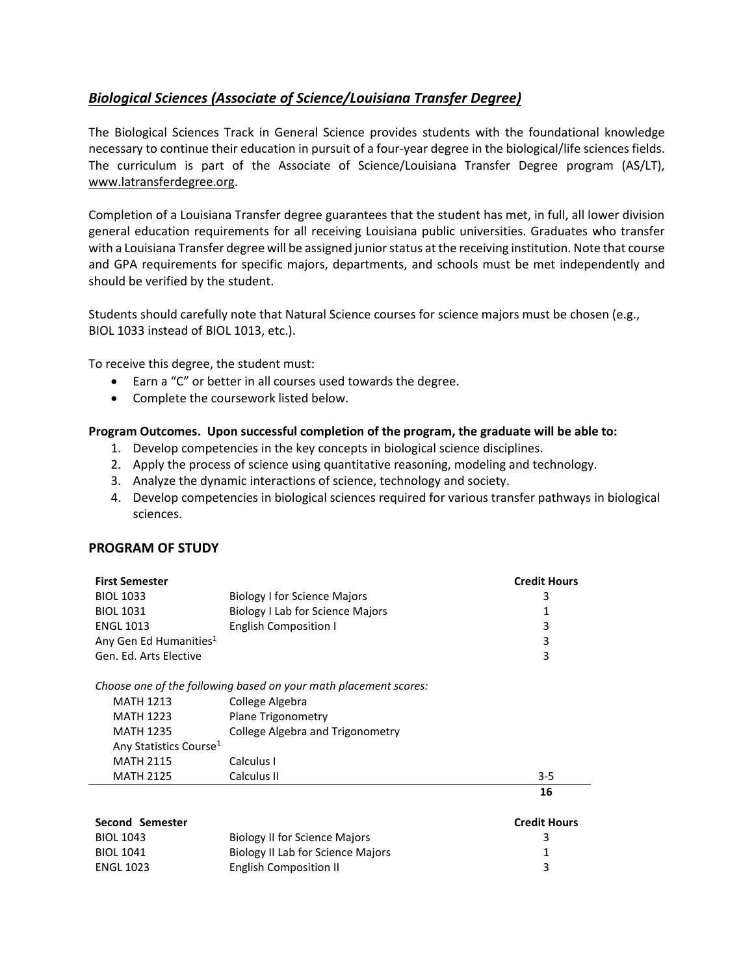## <span id="page-0-0"></span>*[Biological Sciences \(Associate of Science/Louisiana Transfer Degree\)](#page-0-0)*

The Biological Sciences Track in General Science provides students with the foundational knowledge necessary to continue their education in pursuit of a four-year degree in the biological/life sciences fields. The curriculum is part of the Associate of Science/Louisiana Transfer Degree program (AS/LT), [www.latransferdegree.org.](http://www.latransferdegree.org/)

Completion of a Louisiana Transfer degree guarantees that the student has met, in full, all lower division general education requirements for all receiving Louisiana public universities. Graduates who transfer with a Louisiana Transfer degree will be assigned junior status at the receiving institution. Note that course and GPA requirements for specific majors, departments, and schools must be met independently and should be verified by the student.

Students should carefully note that Natural Science courses for science majors must be chosen (e.g., BIOL 1033 instead of BIOL 1013, etc.).

To receive this degree, the student must:

- Earn a "C" or better in all courses used towards the degree.
- Complete the coursework listed below.

## **Program Outcomes. Upon successful completion of the program, the graduate will be able to:**

- 1. Develop competencies in the key concepts in biological science disciplines.
- 2. Apply the process of science using quantitative reasoning, modeling and technology.
- 3. Analyze the dynamic interactions of science, technology and society.
- 4. Develop competencies in biological sciences required for various transfer pathways in biological sciences.

## **PROGRAM OF STUDY**

| <b>First Semester</b>                                            |                                         | <b>Credit Hours</b> |  |  |
|------------------------------------------------------------------|-----------------------------------------|---------------------|--|--|
| <b>BIOL 1033</b>                                                 | <b>Biology I for Science Majors</b>     | 3                   |  |  |
| <b>BIOL 1031</b>                                                 | Biology I Lab for Science Majors        | 1                   |  |  |
| <b>ENGL 1013</b>                                                 | <b>English Composition I</b>            | 3                   |  |  |
| Any Gen Ed Humanities <sup>1</sup>                               |                                         | 3                   |  |  |
| Gen. Ed. Arts Elective                                           |                                         | 3                   |  |  |
| Choose one of the following based on your math placement scores: |                                         |                     |  |  |
| <b>MATH 1213</b>                                                 | College Algebra                         |                     |  |  |
| <b>MATH 1223</b>                                                 | Plane Trigonometry                      |                     |  |  |
| <b>MATH 1235</b>                                                 | <b>College Algebra and Trigonometry</b> |                     |  |  |
| Any Statistics Course <sup>1</sup>                               |                                         |                     |  |  |
| <b>MATH 2115</b>                                                 | Calculus I                              |                     |  |  |
| <b>MATH 2125</b>                                                 | Calculus II                             | $3 - 5$             |  |  |
|                                                                  |                                         | 16                  |  |  |
| Second Semester                                                  |                                         | <b>Credit Hours</b> |  |  |

| <b>PECAIN PENICALE</b> |                                      | Gedictions |
|------------------------|--------------------------------------|------------|
| BIOL 1043              | <b>Biology II for Science Majors</b> |            |
| BIOL 1041              | Biology II Lab for Science Majors    |            |
| ENGL 1023              | English Composition II               |            |